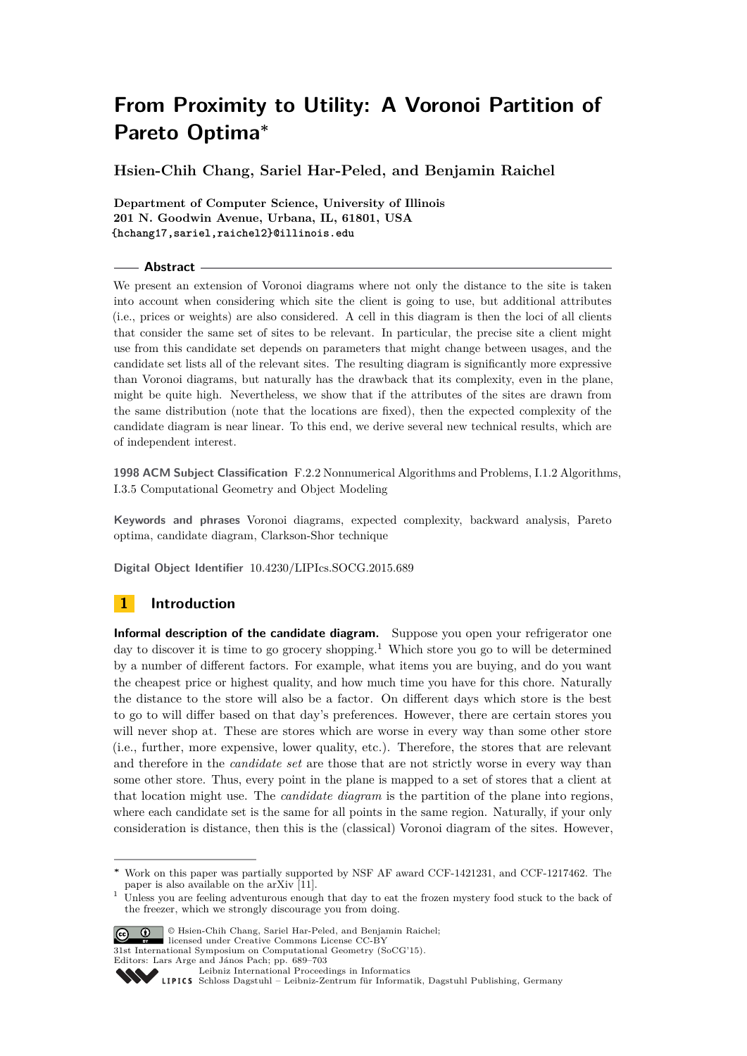**Hsien-Chih Chang, Sariel Har-Peled, and Benjamin Raichel**

**Department of Computer Science, University of Illinois 201 N. Goodwin Avenue, Urbana, IL, 61801, USA {hchang17,sariel,raichel2}@illinois.edu**

#### **Abstract**

We present an extension of Voronoi diagrams where not only the distance to the site is taken into account when considering which site the client is going to use, but additional attributes (i.e., prices or weights) are also considered. A cell in this diagram is then the loci of all clients that consider the same set of sites to be relevant. In particular, the precise site a client might use from this candidate set depends on parameters that might change between usages, and the candidate set lists all of the relevant sites. The resulting diagram is significantly more expressive than Voronoi diagrams, but naturally has the drawback that its complexity, even in the plane, might be quite high. Nevertheless, we show that if the attributes of the sites are drawn from the same distribution (note that the locations are fixed), then the expected complexity of the candidate diagram is near linear. To this end, we derive several new technical results, which are of independent interest.

**1998 ACM Subject Classification** F.2.2 Nonnumerical Algorithms and Problems, I.1.2 Algorithms, I.3.5 Computational Geometry and Object Modeling

**Keywords and phrases** Voronoi diagrams, expected complexity, backward analysis, Pareto optima, candidate diagram, Clarkson-Shor technique

**Digital Object Identifier** [10.4230/LIPIcs.SOCG.2015.689](http://dx.doi.org/10.4230/LIPIcs.SOCG.2015.689)

# **1 Introduction**

**Informal description of the candidate diagram.** Suppose you open your refrigerator one day to discover it is time to go grocery shopping.[1](#page-0-0) Which store you go to will be determined by a number of different factors. For example, what items you are buying, and do you want the cheapest price or highest quality, and how much time you have for this chore. Naturally the distance to the store will also be a factor. On different days which store is the best to go to will differ based on that day's preferences. However, there are certain stores you will never shop at. These are stores which are worse in every way than some other store (i.e., further, more expensive, lower quality, etc.). Therefore, the stores that are relevant and therefore in the *candidate set* are those that are not strictly worse in every way than some other store. Thus, every point in the plane is mapped to a set of stores that a client at that location might use. The *candidate diagram* is the partition of the plane into regions, where each candidate set is the same for all points in the same region. Naturally, if your only consideration is distance, then this is the (classical) Voronoi diagram of the sites. However,

<span id="page-0-0"></span><sup>&</sup>lt;sup>1</sup> Unless you are feeling adventurous enough that day to eat the frozen mystery food stuck to the back of the freezer, which we strongly discourage you from doing.



© Hsien-Chih Chang, Sariel Har-Peled, and Benjamin Raichel; licensed under Creative Commons License CC-BY

31st International Symposium on Computational Geometry (SoCG'15).

**<sup>∗</sup>** Work on this paper was partially supported by NSF AF award CCF-1421231, and CCF-1217462. The paper is also available on the arXiv [\[11\]](#page-14-0).

Editors: Lars Arge and János Pach; pp. 689[–703](#page-14-1)

[Leibniz International Proceedings in Informatics](http://www.dagstuhl.de/lipics/)

Leibniz international ruceedings in miorimetric<br>
LIPICS [Schloss Dagstuhl – Leibniz-Zentrum für Informatik, Dagstuhl Publishing, Germany](http://www.dagstuhl.de)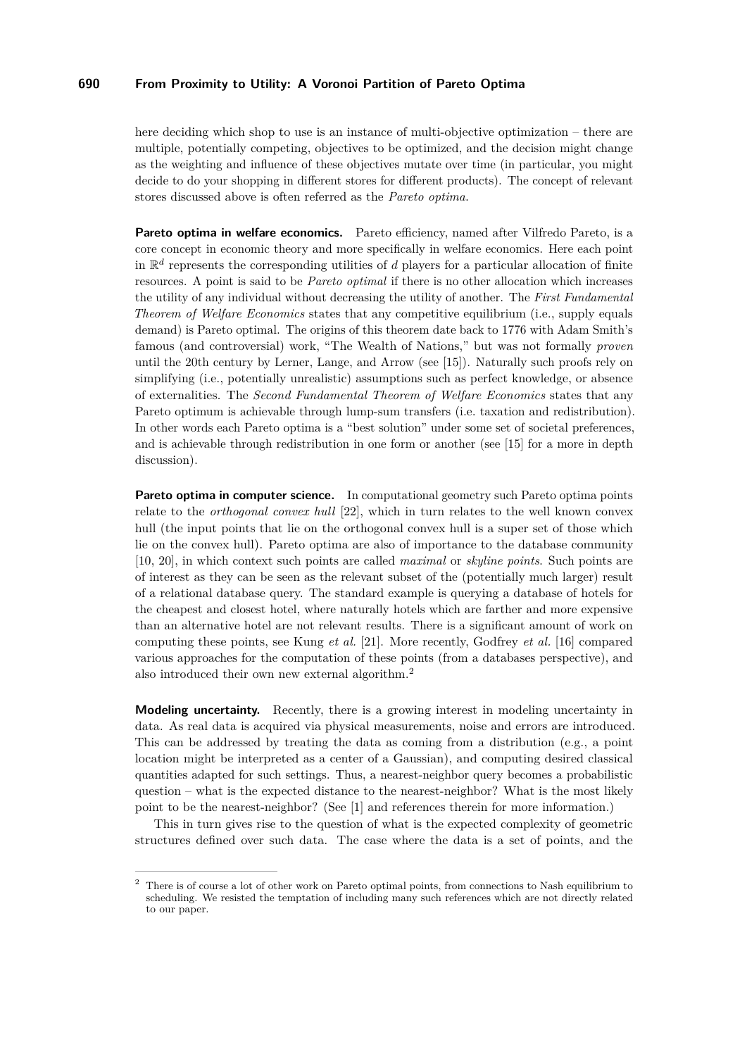here deciding which shop to use is an instance of multi-objective optimization – there are multiple, potentially competing, objectives to be optimized, and the decision might change as the weighting and influence of these objectives mutate over time (in particular, you might decide to do your shopping in different stores for different products). The concept of relevant stores discussed above is often referred as the *Pareto optima*.

**Pareto optima in welfare economics.** Pareto efficiency, named after Vilfredo Pareto, is a core concept in economic theory and more specifically in welfare economics. Here each point in  $\mathbb{R}^d$  represents the corresponding utilities of *d* players for a particular allocation of finite resources. A point is said to be *Pareto optimal* if there is no other allocation which increases the utility of any individual without decreasing the utility of another. The *First Fundamental Theorem of Welfare Economics* states that any competitive equilibrium (i.e., supply equals demand) is Pareto optimal. The origins of this theorem date back to 1776 with Adam Smith's famous (and controversial) work, "The Wealth of Nations," but was not formally *proven* until the 20th century by Lerner, Lange, and Arrow (see [\[15\]](#page-14-2)). Naturally such proofs rely on simplifying (i.e., potentially unrealistic) assumptions such as perfect knowledge, or absence of externalities. The *Second Fundamental Theorem of Welfare Economics* states that any Pareto optimum is achievable through lump-sum transfers (i.e. taxation and redistribution). In other words each Pareto optima is a "best solution" under some set of societal preferences, and is achievable through redistribution in one form or another (see [\[15\]](#page-14-2) for a more in depth discussion).

**Pareto optima in computer science.** In computational geometry such Pareto optima points relate to the *orthogonal convex hull* [\[22\]](#page-14-3), which in turn relates to the well known convex hull (the input points that lie on the orthogonal convex hull is a super set of those which lie on the convex hull). Pareto optima are also of importance to the database community [\[10,](#page-14-4) [20\]](#page-14-5), in which context such points are called *maximal* or *skyline points*. Such points are of interest as they can be seen as the relevant subset of the (potentially much larger) result of a relational database query. The standard example is querying a database of hotels for the cheapest and closest hotel, where naturally hotels which are farther and more expensive than an alternative hotel are not relevant results. There is a significant amount of work on computing these points, see Kung *et al.* [\[21\]](#page-14-6). More recently, Godfrey *et al.* [\[16\]](#page-14-7) compared various approaches for the computation of these points (from a databases perspective), and also introduced their own new external algorithm.[2](#page-1-0)

**Modeling uncertainty.** Recently, there is a growing interest in modeling uncertainty in data. As real data is acquired via physical measurements, noise and errors are introduced. This can be addressed by treating the data as coming from a distribution (e.g., a point location might be interpreted as a center of a Gaussian), and computing desired classical quantities adapted for such settings. Thus, a nearest-neighbor query becomes a probabilistic question – what is the expected distance to the nearest-neighbor? What is the most likely point to be the nearest-neighbor? (See [\[1\]](#page-13-0) and references therein for more information.)

This in turn gives rise to the question of what is the expected complexity of geometric structures defined over such data. The case where the data is a set of points, and the

<span id="page-1-0"></span> $2$  There is of course a lot of other work on Pareto optimal points, from connections to Nash equilibrium to scheduling. We resisted the temptation of including many such references which are not directly related to our paper.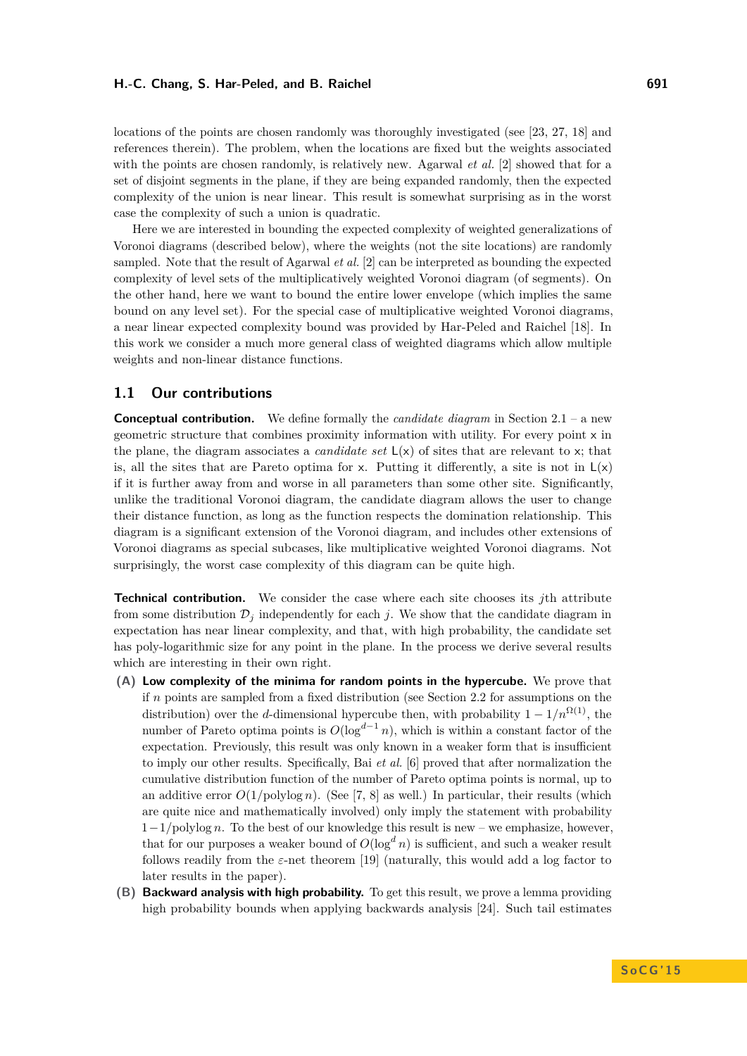locations of the points are chosen randomly was thoroughly investigated (see [\[23,](#page-14-8) [27,](#page-14-9) [18\]](#page-14-10) and references therein). The problem, when the locations are fixed but the weights associated with the points are chosen randomly, is relatively new. Agarwal *et al.* [\[2\]](#page-13-1) showed that for a set of disjoint segments in the plane, if they are being expanded randomly, then the expected complexity of the union is near linear. This result is somewhat surprising as in the worst case the complexity of such a union is quadratic.

Here we are interested in bounding the expected complexity of weighted generalizations of Voronoi diagrams (described below), where the weights (not the site locations) are randomly sampled. Note that the result of Agarwal *et al.* [\[2\]](#page-13-1) can be interpreted as bounding the expected complexity of level sets of the multiplicatively weighted Voronoi diagram (of segments). On the other hand, here we want to bound the entire lower envelope (which implies the same bound on any level set). For the special case of multiplicative weighted Voronoi diagrams, a near linear expected complexity bound was provided by Har-Peled and Raichel [\[18\]](#page-14-10). In this work we consider a much more general class of weighted diagrams which allow multiple weights and non-linear distance functions.

## **1.1 Our contributions**

**Conceptual contribution.** We define formally the *candidate diagram* in Section [2.1](#page-4-0) – a new geometric structure that combines proximity information with utility. For every point x in the plane, the diagram associates a *candidate set* L(x) of sites that are relevant to x; that is, all the sites that are Pareto optima for x. Putting it differently, a site is not in  $L(x)$ if it is further away from and worse in all parameters than some other site. Significantly, unlike the traditional Voronoi diagram, the candidate diagram allows the user to change their distance function, as long as the function respects the domination relationship. This diagram is a significant extension of the Voronoi diagram, and includes other extensions of Voronoi diagrams as special subcases, like multiplicative weighted Voronoi diagrams. Not surprisingly, the worst case complexity of this diagram can be quite high.

**Technical contribution.** We consider the case where each site chooses its *j*th attribute from some distribution  $\mathcal{D}_i$  independently for each *j*. We show that the candidate diagram in expectation has near linear complexity, and that, with high probability, the candidate set has poly-logarithmic size for any point in the plane. In the process we derive several results which are interesting in their own right.

- **(A) Low complexity of the minima for random points in the hypercube.** We prove that if *n* points are sampled from a fixed distribution (see Section [2.2](#page-5-0) for assumptions on the distribution) over the *d*-dimensional hypercube then, with probability  $1 - 1/n^{\Omega(1)}$ , the number of Pareto optima points is  $O(\log^{d-1} n)$ , which is within a constant factor of the expectation. Previously, this result was only known in a weaker form that is insufficient to imply our other results. Specifically, Bai *et al.* [\[6\]](#page-14-11) proved that after normalization the cumulative distribution function of the number of Pareto optima points is normal, up to an additive error  $O(1/\text{polylog } n)$ . (See [\[7,](#page-14-12) [8\]](#page-14-13) as well.) In particular, their results (which are quite nice and mathematically involved) only imply the statement with probability 1−1*/*polylog *n*. To the best of our knowledge this result is new – we emphasize, however, that for our purposes a weaker bound of  $O(\log^d n)$  is sufficient, and such a weaker result follows readily from the  $\varepsilon$ -net theorem [\[19\]](#page-14-14) (naturally, this would add a log factor to later results in the paper).
- **(B) Backward analysis with high probability.** To get this result, we prove a lemma providing high probability bounds when applying backwards analysis [\[24\]](#page-14-15). Such tail estimates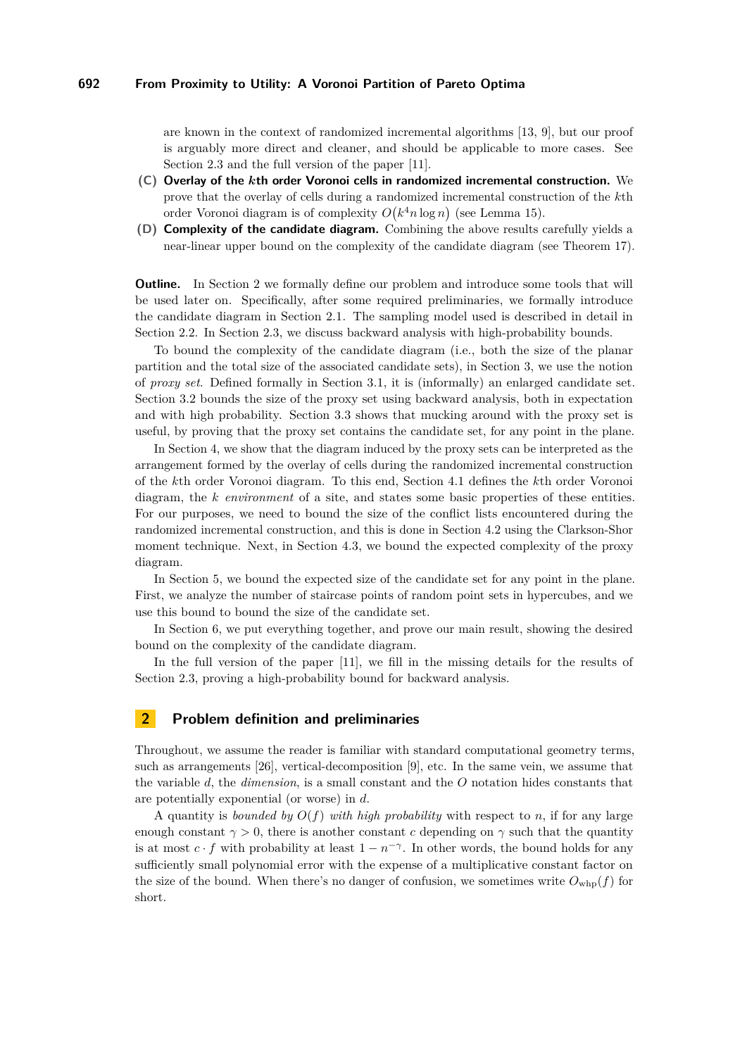are known in the context of randomized incremental algorithms [\[13,](#page-14-16) [9\]](#page-14-17), but our proof is arguably more direct and cleaner, and should be applicable to more cases. See Section [2.3](#page-5-1) and the full version of the paper [\[11\]](#page-14-0).

- **(C) Overlay of the** *k***th order Voronoi cells in randomized incremental construction.** We prove that the overlay of cells during a randomized incremental construction of the *k*th order Voronoi diagram is of complexity  $O(k^4 n \log n)$  (see Lemma [15\)](#page-12-0).
- **(D) Complexity of the candidate diagram.** Combining the above results carefully yields a near-linear upper bound on the complexity of the candidate diagram (see Theorem [17\)](#page-13-2).

**Outline.** In Section [2](#page-3-0) we formally define our problem and introduce some tools that will be used later on. Specifically, after some required preliminaries, we formally introduce the candidate diagram in Section [2.1.](#page-4-0) The sampling model used is described in detail in Section [2.2.](#page-5-0) In Section [2.3,](#page-5-1) we discuss backward analysis with high-probability bounds.

To bound the complexity of the candidate diagram (i.e., both the size of the planar partition and the total size of the associated candidate sets), in Section [3,](#page-6-0) we use the notion of *proxy set*. Defined formally in Section [3.1,](#page-6-1) it is (informally) an enlarged candidate set. Section [3.2](#page-7-0) bounds the size of the proxy set using backward analysis, both in expectation and with high probability. Section [3.3](#page-7-1) shows that mucking around with the proxy set is useful, by proving that the proxy set contains the candidate set, for any point in the plane.

In Section [4,](#page-8-0) we show that the diagram induced by the proxy sets can be interpreted as the arrangement formed by the overlay of cells during the randomized incremental construction of the *k*th order Voronoi diagram. To this end, Section [4.1](#page-8-1) defines the *k*th order Voronoi diagram, the *k environment* of a site, and states some basic properties of these entities. For our purposes, we need to bound the size of the conflict lists encountered during the randomized incremental construction, and this is done in Section [4.2](#page-10-0) using the Clarkson-Shor moment technique. Next, in Section [4.3,](#page-12-1) we bound the expected complexity of the proxy diagram.

In Section [5,](#page-13-3) we bound the expected size of the candidate set for any point in the plane. First, we analyze the number of staircase points of random point sets in hypercubes, and we use this bound to bound the size of the candidate set.

In Section [6,](#page-13-4) we put everything together, and prove our main result, showing the desired bound on the complexity of the candidate diagram.

In the full version of the paper [\[11\]](#page-14-0), we fill in the missing details for the results of Section [2.3,](#page-5-1) proving a high-probability bound for backward analysis.

# <span id="page-3-0"></span>**2 Problem definition and preliminaries**

Throughout, we assume the reader is familiar with standard computational geometry terms, such as arrangements [\[26\]](#page-14-18), vertical-decomposition [\[9\]](#page-14-17), etc. In the same vein, we assume that the variable *d*, the *dimension*, is a small constant and the *O* notation hides constants that are potentially exponential (or worse) in *d*.

A quantity is *bounded by*  $O(f)$  *with high probability* with respect to *n*, if for any large enough constant  $\gamma > 0$ , there is another constant *c* depending on  $\gamma$  such that the quantity is at most  $c \cdot f$  with probability at least  $1 - n^{-\gamma}$ . In other words, the bound holds for any sufficiently small polynomial error with the expense of a multiplicative constant factor on the size of the bound. When there's no danger of confusion, we sometimes write  $O_{\text{whp}}(f)$  for short.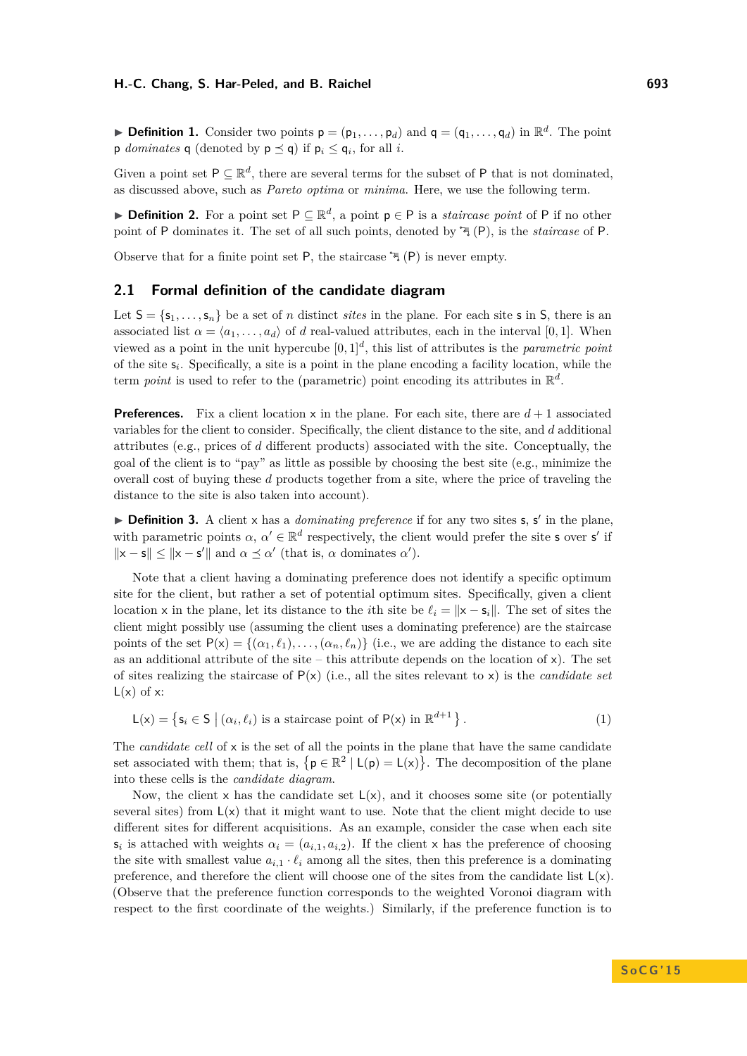**Definition 1.** Consider two points  $\mathbf{p} = (\mathbf{p}_1, \dots, \mathbf{p}_d)$  and  $\mathbf{q} = (\mathbf{q}_1, \dots, \mathbf{q}_d)$  in  $\mathbb{R}^d$ . The point  $p \text{ } dominates \text{ } q \text{ } (\text{denoted by } p \leq q) \text{ if } p_i \leq q_i \text{, for all } i.$ 

Given a point set  $P \subseteq \mathbb{R}^d$ , there are several terms for the subset of P that is not dominated, as discussed above, such as *Pareto optima* or *minima*. Here, we use the following term.

**Definition 2.** For a point set  $P \subseteq \mathbb{R}^d$ , a point  $p \in P$  is a *staircase point* of P if no other point of P dominates it. The set of all such points, denoted by (P), is the *staircase* of P.

Observe that for a finite point set P, the staircase  $\mathcal{F}_{\mathbf{A}}(P)$  is never empty.

## <span id="page-4-0"></span>**2.1 Formal definition of the candidate diagram**

Let  $S = \{s_1, \ldots, s_n\}$  be a set of *n* distinct *sites* in the plane. For each site s in S, there is an associated list  $\alpha = \langle a_1, \ldots, a_d \rangle$  of *d* real-valued attributes, each in the interval [0, 1]. When viewed as a point in the unit hypercube  $[0,1]^d$ , this list of attributes is the *parametric point* of the site s*<sup>i</sup>* . Specifically, a site is a point in the plane encoding a facility location, while the term *point* is used to refer to the (parametric) point encoding its attributes in  $\mathbb{R}^d$ .

**Preferences.** Fix a client location x in the plane. For each site, there are  $d+1$  associated variables for the client to consider. Specifically, the client distance to the site, and *d* additional attributes (e.g., prices of *d* different products) associated with the site. Conceptually, the goal of the client is to "pay" as little as possible by choosing the best site (e.g., minimize the overall cost of buying these *d* products together from a site, where the price of traveling the distance to the site is also taken into account).

<span id="page-4-1"></span>**Definition 3.** A client x has a *dominating preference* if for any two sites s, s' in the plane, with parametric points  $\alpha, \alpha' \in \mathbb{R}^d$  respectively, the client would prefer the site **s** over **s'** if  $\|\mathbf{x} - \mathbf{s}\| \leq \|\mathbf{x} - \mathbf{s}'\|$  and  $\alpha \leq \alpha'$  (that is,  $\alpha$  dominates  $\alpha'$ ).

Note that a client having a dominating preference does not identify a specific optimum site for the client, but rather a set of potential optimum sites. Specifically, given a client location x in the plane, let its distance to the *i*th site be  $\ell_i = ||x - s_i||$ . The set of sites the client might possibly use (assuming the client uses a dominating preference) are the staircase points of the set  $P(x) = \{(\alpha_1, \ell_1), \ldots, (\alpha_n, \ell_n)\}\$  (i.e., we are adding the distance to each site as an additional attribute of the site – this attribute depends on the location of  $x$ ). The set of sites realizing the staircase of  $P(x)$  (i.e., all the sites relevant to x) is the *candidate set*  $L(x)$  of x:

$$
\mathsf{L}(\mathsf{x}) = \left\{ \mathsf{s}_i \in \mathsf{S} \mid (\alpha_i, \ell_i) \text{ is a staircase point of } \mathsf{P}(\mathsf{x}) \text{ in } \mathbb{R}^{d+1} \right\}. \tag{1}
$$

The *candidate cell* of x is the set of all the points in the plane that have the same candidate set associated with them; that is,  $\{p \in \mathbb{R}^2 \mid L(p) = L(x)\}\.$  The decomposition of the plane into these cells is the *candidate diagram*.

Now, the client  $x$  has the candidate set  $L(x)$ , and it chooses some site (or potentially several sites) from  $L(x)$  that it might want to use. Note that the client might decide to use different sites for different acquisitions. As an example, consider the case when each site  $s_i$  is attached with weights  $\alpha_i = (a_{i,1}, a_{i,2})$ . If the client x has the preference of choosing the site with smallest value  $a_{i,1} \cdot \ell_i$  among all the sites, then this preference is a dominating preference, and therefore the client will choose one of the sites from the candidate list  $L(x)$ . (Observe that the preference function corresponds to the weighted Voronoi diagram with respect to the first coordinate of the weights.) Similarly, if the preference function is to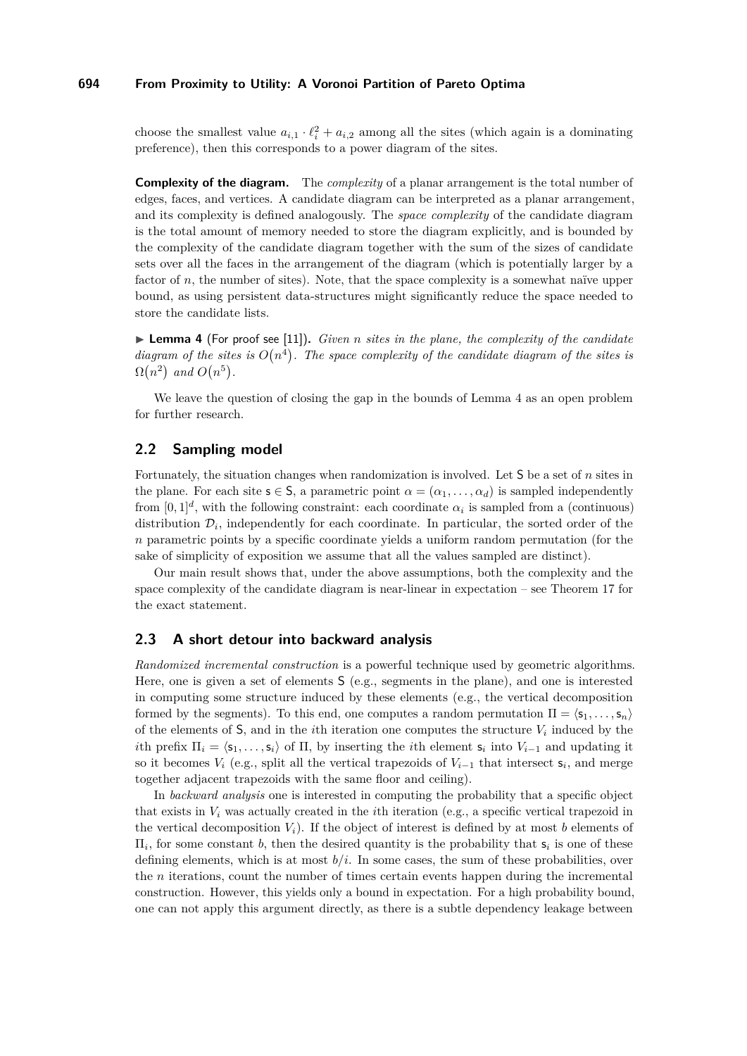choose the smallest value  $a_{i,1} \cdot \ell_i^2 + a_{i,2}$  among all the sites (which again is a dominating preference), then this corresponds to a power diagram of the sites.

**Complexity of the diagram.** The *complexity* of a planar arrangement is the total number of edges, faces, and vertices. A candidate diagram can be interpreted as a planar arrangement, and its complexity is defined analogously. The *space complexity* of the candidate diagram is the total amount of memory needed to store the diagram explicitly, and is bounded by the complexity of the candidate diagram together with the sum of the sizes of candidate sets over all the faces in the arrangement of the diagram (which is potentially larger by a factor of *n*, the number of sites). Note, that the space complexity is a somewhat naïve upper bound, as using persistent data-structures might significantly reduce the space needed to store the candidate lists.

<span id="page-5-2"></span>▶ **Lemma 4** (For proof see [\[11\]](#page-14-0)). *Given n sites in the plane, the complexity of the candidate* diagram of the sites is  $O(n^4)$ . The space complexity of the candidate diagram of the sites is  $\Omega(n^2)$  and  $O(n^5)$ .

We leave the question of closing the gap in the bounds of Lemma [4](#page-5-2) as an open problem for further research.

## <span id="page-5-0"></span>**2.2 Sampling model**

Fortunately, the situation changes when randomization is involved. Let S be a set of *n* sites in the plane. For each site  $s \in S$ , a parametric point  $\alpha = (\alpha_1, \dots, \alpha_d)$  is sampled independently from  $[0,1]^d$ , with the following constraint: each coordinate  $\alpha_i$  is sampled from a (continuous) distribution  $\mathcal{D}_i$ , independently for each coordinate. In particular, the sorted order of the *n* parametric points by a specific coordinate yields a uniform random permutation (for the sake of simplicity of exposition we assume that all the values sampled are distinct).

Our main result shows that, under the above assumptions, both the complexity and the space complexity of the candidate diagram is near-linear in expectation – see Theorem [17](#page-13-2) for the exact statement.

## <span id="page-5-1"></span>**2.3 A short detour into backward analysis**

*Randomized incremental construction* is a powerful technique used by geometric algorithms. Here, one is given a set of elements S (e.g., segments in the plane), and one is interested in computing some structure induced by these elements (e.g., the vertical decomposition formed by the segments). To this end, one computes a random permutation  $\Pi = \langle s_1, \ldots, s_n \rangle$ of the elements of  $S$ , and in the *i*th iteration one computes the structure  $V_i$  induced by the *i*th prefix  $\Pi_i = \langle \mathsf{s}_1, \ldots, \mathsf{s}_i \rangle$  of  $\Pi$ , by inserting the *i*th element  $\mathsf{s}_i$  into  $V_{i-1}$  and updating it so it becomes  $V_i$  (e.g., split all the vertical trapezoids of  $V_{i-1}$  that intersect  $s_i$ , and merge together adjacent trapezoids with the same floor and ceiling).

In *backward analysis* one is interested in computing the probability that a specific object that exists in  $V_i$  was actually created in the *i*th iteration (e.g., a specific vertical trapezoid in the vertical decomposition  $V_i$ ). If the object of interest is defined by at most *b* elements of  $\Pi_i$ , for some constant *b*, then the desired quantity is the probability that  $s_i$  is one of these defining elements, which is at most *b/i*. In some cases, the sum of these probabilities, over the *n* iterations, count the number of times certain events happen during the incremental construction. However, this yields only a bound in expectation. For a high probability bound, one can not apply this argument directly, as there is a subtle dependency leakage between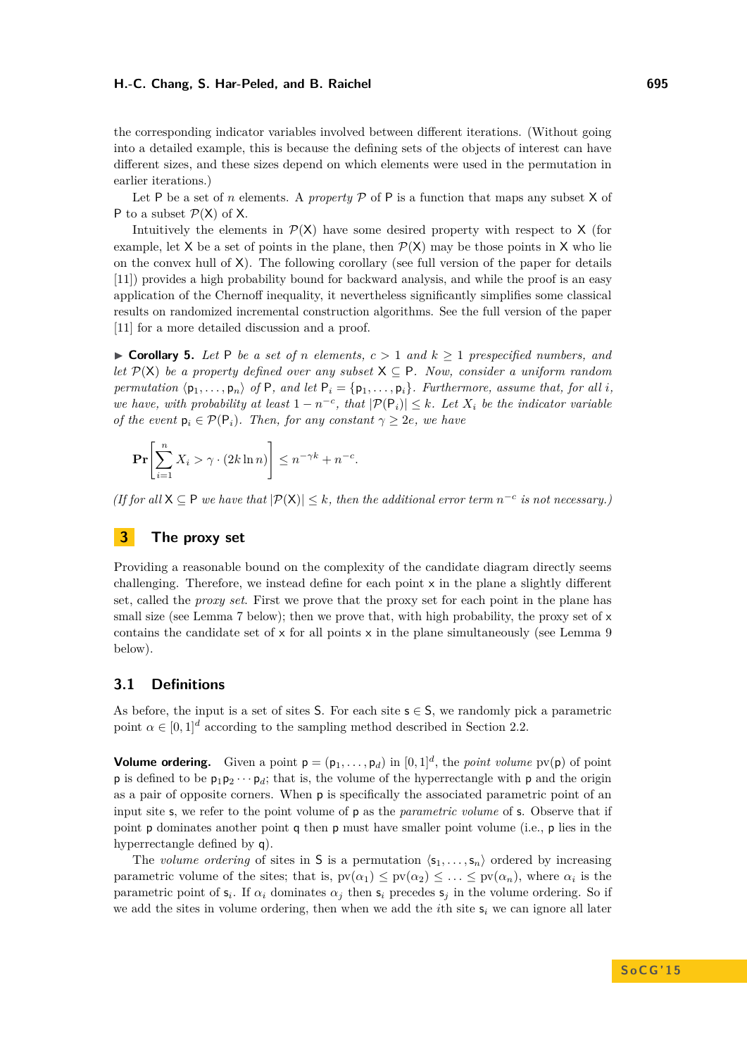the corresponding indicator variables involved between different iterations. (Without going into a detailed example, this is because the defining sets of the objects of interest can have different sizes, and these sizes depend on which elements were used in the permutation in earlier iterations.)

Let P be a set of *n* elements. A *property*  $\mathcal P$  of P is a function that maps any subset X of P to a subset  $\mathcal{P}(X)$  of X.

Intuitively the elements in  $\mathcal{P}(X)$  have some desired property with respect to X (for example, let X be a set of points in the plane, then  $\mathcal{P}(X)$  may be those points in X who lie on the convex hull of  $X$ ). The following corollary (see full version of the paper for details [\[11\]](#page-14-0)) provides a high probability bound for backward analysis, and while the proof is an easy application of the Chernoff inequality, it nevertheless significantly simplifies some classical results on randomized incremental construction algorithms. See the full version of the paper [\[11\]](#page-14-0) for a more detailed discussion and a proof.

<span id="page-6-2"></span>▶ **Corollary 5.** Let P be a set of *n* elements,  $c > 1$  and  $k \ge 1$  prespecified numbers, and *let* P(X) *be a property defined over any subset* X ⊆ P*. Now, consider a uniform random permutation*  $\langle p_1, \ldots, p_n \rangle$  *of* P*, and let*  $P_i = \{p_1, \ldots, p_i\}$ *. Furthermore, assume that, for all i, we have, with probability at least*  $1 - n^{-c}$ , that  $|\mathcal{P}(\mathsf{P}_i)| \leq k$ *. Let*  $X_i$  *be the indicator variable of the event*  $p_i \in \mathcal{P}(P_i)$ *. Then, for any constant*  $\gamma \geq 2e$ *, we have* 

$$
\Pr\left[\sum_{i=1}^n X_i > \gamma \cdot (2k \ln n)\right] \le n^{-\gamma k} + n^{-c}.
$$

*(If for all*  $X ⊆ P$  *we have that*  $|P(X)| ≤ k$ *, then the additional error term*  $n^{-c}$  *is not necessary.*)

# <span id="page-6-0"></span>**3 The proxy set**

Providing a reasonable bound on the complexity of the candidate diagram directly seems challenging. Therefore, we instead define for each point  $x$  in the plane a slightly different set, called the *proxy set*. First we prove that the proxy set for each point in the plane has small size (see Lemma [7](#page-7-2) below); then we prove that, with high probability, the proxy set of x contains the candidate set of  $x$  for all points  $x$  in the plane simultaneously (see Lemma [9](#page-7-3)) below).

# <span id="page-6-1"></span>**3.1 Definitions**

As before, the input is a set of sites S. For each site  $s \in S$ , we randomly pick a parametric point  $\alpha \in [0,1]^d$  according to the sampling method described in Section [2.2.](#page-5-0)

**Volume ordering.** Given a point  $p = (p_1, \ldots, p_d)$  in  $[0, 1]^d$ , the *point volume*  $pv(p)$  of point **p** is defined to be  $p_1p_2 \cdots p_d$ ; that is, the volume of the hyperrectangle with **p** and the origin as a pair of opposite corners. When p is specifically the associated parametric point of an input site s, we refer to the point volume of p as the *parametric volume* of s. Observe that if point  $p$  dominates another point  $q$  then  $p$  must have smaller point volume (i.e.,  $p$  lies in the hyperrectangle defined by q).

The *volume ordering* of sites in **S** is a permutation  $\langle s_1, \ldots, s_n \rangle$  ordered by increasing parametric volume of the sites; that is,  $pv(\alpha_1) \leq pv(\alpha_2) \leq ... \leq pv(\alpha_n)$ , where  $\alpha_i$  is the parametric point of  $s_i$ . If  $\alpha_i$  dominates  $\alpha_j$  then  $s_i$  precedes  $s_j$  in the volume ordering. So if we add the sites in volume ordering, then when we add the *i*th site s*<sup>i</sup>* we can ignore all later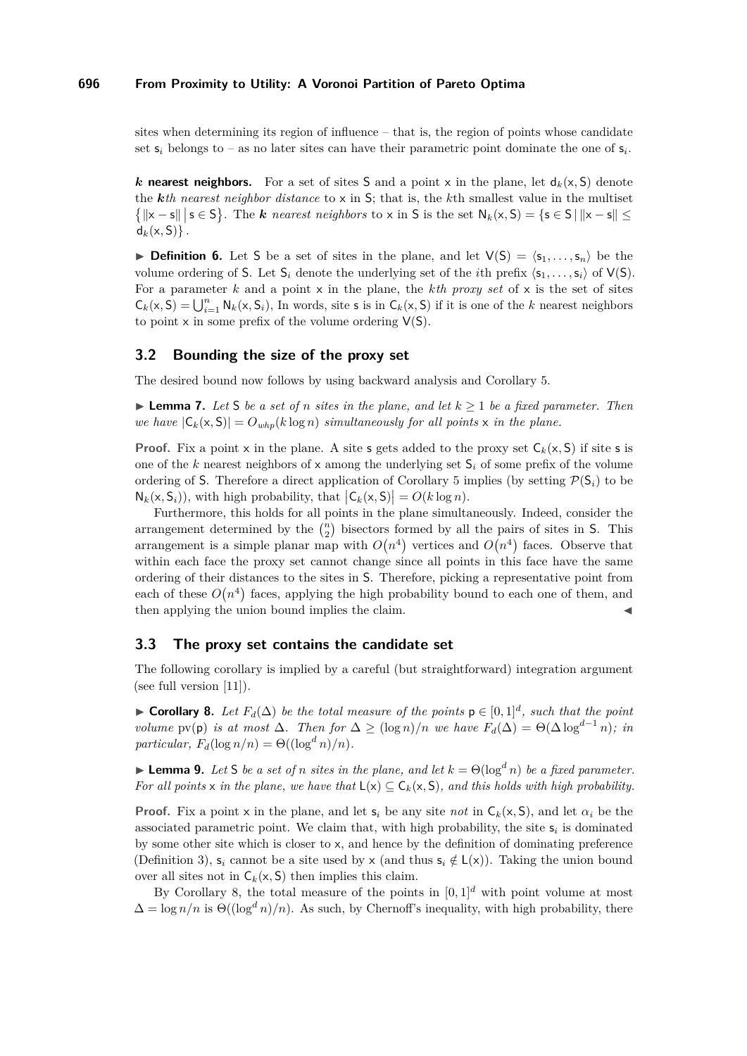sites when determining its region of influence – that is, the region of points whose candidate set  $s_i$  belongs to – as no later sites can have their parametric point dominate the one of  $s_i$ .

**k nearest neighbors.** For a set of sites S and a point x in the plane, let  $d_k(x, S)$  denote the *kth nearest neighbor distance* to x in S; that is, the *k*th smallest value in the multiset  $\{|x - s| \mid s \in S\}$ . The *k nearest neighbors* to x in S is the set  $N_k(x, S) = \{s \in S \mid ||x - s|| \leq \frac{1}{k}$  $d_k(x, S)$ .

**Definition 6.** Let S be a set of sites in the plane, and let  $V(S) = \langle s_1, \ldots, s_n \rangle$  be the volume ordering of S. Let  $S_i$  denote the underlying set of the *i*th prefix  $\langle s_1, \ldots, s_i \rangle$  of  $V(S)$ . For a parameter *k* and a point x in the plane, the *kth proxy set* of x is the set of sites  $C_k(x, S) = \bigcup_{i=1}^n \mathsf{N}_k(x, S_i)$ , In words, site s is in  $C_k(x, S)$  if it is one of the *k* nearest neighbors to point  $x$  in some prefix of the volume ordering  $V(S)$ .

## <span id="page-7-0"></span>**3.2 Bounding the size of the proxy set**

The desired bound now follows by using backward analysis and Corollary [5.](#page-6-2)

<span id="page-7-2"></span>**Lemma 7.** Let S be a set of *n* sites in the plane, and let  $k \geq 1$  be a fixed parameter. Then *we have*  $|C_k(x, S)| = O_{whp}(k \log n)$  *simultaneously for all points* x *in the plane.* 

**Proof.** Fix a point x in the plane. A site **s** gets added to the proxy set  $C_k(x, S)$  if site **s** is one of the *k* nearest neighbors of x among the underlying set S*<sup>i</sup>* of some prefix of the volume ordering of S. Therefore a direct application of Corollary [5](#page-6-2) implies (by setting  $\mathcal{P}(S_i)$ ) to be  $N_k(x, S_i)$ , with high probability, that  $|C_k(x, S)| = O(k \log n)$ .

Furthermore, this holds for all points in the plane simultaneously. Indeed, consider the arrangement determined by the  $\binom{n}{2}$  bisectors formed by all the pairs of sites in S. This arrangement is a simple planar map with  $O(n^4)$  vertices and  $O(n^4)$  faces. Observe that within each face the proxy set cannot change since all points in this face have the same ordering of their distances to the sites in S. Therefore, picking a representative point from each of these  $O(n^4)$  faces, applying the high probability bound to each one of them, and then applying the union bound implies the claim.

## <span id="page-7-1"></span>**3.3 The proxy set contains the candidate set**

The following corollary is implied by a careful (but straightforward) integration argument (see full version [\[11\]](#page-14-0)).

<span id="page-7-4"></span>► **Corollary 8.** Let  $F_d(\Delta)$  be the total measure of the points  $p \in [0,1]^d$ , such that the point *volume*  $\text{pv}(p)$  *is at most*  $\Delta$ *. Then for*  $\Delta \geq (\log n)/n$  *we have*  $F_d(\Delta) = \Theta(\Delta \log^{d-1} n)$ *; in particular,*  $F_d(\log n/n) = \Theta((\log^d n)/n)$ .

<span id="page-7-3"></span>**Lemma 9.** *Let* S *be a set of n sites in the plane, and let*  $k = \Theta(\log^d n)$  *be a fixed parameter. For all points* x *in the plane, we have that*  $L(x) \subseteq C_k(x, S)$ *, and this holds with high probability.* 

**Proof.** Fix a point x in the plane, and let  $s_i$  be any site *not* in  $C_k(x, S)$ , and let  $\alpha_i$  be the associated parametric point. We claim that, with high probability, the site  $s_i$  is dominated by some other site which is closer to x, and hence by the definition of dominating preference (Definition [3\)](#page-4-1),  $s_i$  cannot be a site used by x (and thus  $s_i \notin L(x)$ ). Taking the union bound over all sites not in  $C_k(x, S)$  then implies this claim.

By Corollary [8,](#page-7-4) the total measure of the points in  $[0,1]^d$  with point volume at most  $\Delta = \log n/n$  is  $\Theta((\log^d n)/n)$ . As such, by Chernoff's inequality, with high probability, there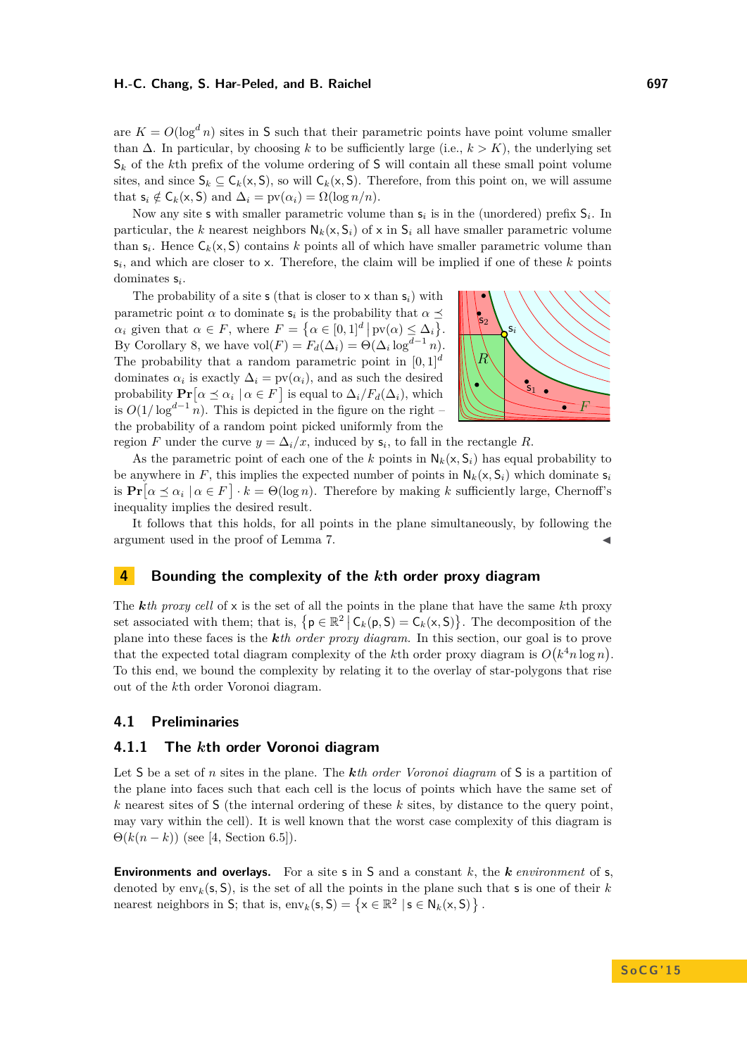are  $K = O(\log^d n)$  sites in S such that their parametric points have point volume smaller than  $\Delta$ . In particular, by choosing *k* to be sufficiently large (i.e.,  $k > K$ ), the underlying set S*<sup>k</sup>* of the *k*th prefix of the volume ordering of S will contain all these small point volume sites, and since  $S_k \subseteq C_k(x, S)$ , so will  $C_k(x, S)$ . Therefore, from this point on, we will assume that  $s_i \notin C_k(x, S)$  and  $\Delta_i = pv(\alpha_i) = \Omega(\log n/n)$ .

Now any site **s** with smaller parametric volume than  $s_i$  is in the (unordered) prefix  $S_i$ . In particular, the *k* nearest neighbors  $N_k(x, S_i)$  of x in  $S_i$  all have smaller parametric volume than  $s_i$ . Hence  $C_k(x, S)$  contains *k* points all of which have smaller parametric volume than s*i* , and which are closer to x. Therefore, the claim will be implied if one of these *k* points dominates s*<sup>i</sup>* .

The probability of a site s (that is closer to x than s*i*) with parametric point  $\alpha$  to dominate  $s_i$  is the probability that  $\alpha \preceq$  $\alpha_i$  given that  $\alpha \in F$ , where  $F = \{\alpha \in [0,1]^d \mid \text{pv}(\alpha) \leq \Delta_i\}.$ By Corollary [8,](#page-7-4) we have  $vol(F) = F_d(\Delta_i) = \Theta(\Delta_i \log^{d-1} n)$ . The probability that a random parametric point in  $[0, 1]^d$ dominates  $\alpha_i$  is exactly  $\Delta_i = \text{pv}(\alpha_i)$ , and as such the desired probability  $\Pr[\alpha \leq \alpha_i \mid \alpha \in F]$  is equal to  $\Delta_i/F_d(\Delta_i)$ , which is  $O(1/\log^{d-1} n)$ . This is depicted in the figure on the right the probability of a random point picked uniformly from the



region *F* under the curve  $y = \Delta_i/x$ , induced by  $s_i$ , to fall in the rectangle *R*.

As the parametric point of each one of the *k* points in  $N_k(x, S_i)$  has equal probability to be anywhere in *F*, this implies the expected number of points in  $N_k(x, S_i)$  which dominate  $s_i$ is  $\Pr[\alpha \leq \alpha_i \mid \alpha \in F] \cdot k = \Theta(\log n)$ . Therefore by making *k* sufficiently large, Chernoff's inequality implies the desired result.

It follows that this holds, for all points in the plane simultaneously, by following the argument used in the proof of Lemma [7.](#page-7-2)

## <span id="page-8-0"></span>**4 Bounding the complexity of the** *k***th order proxy diagram**

The *kth proxy cell* of x is the set of all the points in the plane that have the same *k*th proxy set associated with them; that is,  $\{p \in \mathbb{R}^2 \mid C_k(p, S) = C_k(x, S)\}$ . The decomposition of the plane into these faces is the *kth order proxy diagram*. In this section, our goal is to prove that the expected total diagram complexity of the *k*th order proxy diagram is  $O(k^4 n \log n)$ . To this end, we bound the complexity by relating it to the overlay of star-polygons that rise out of the *k*th order Voronoi diagram.

# <span id="page-8-1"></span>**4.1 Preliminaries**

#### **4.1.1 The** *k***th order Voronoi diagram**

Let S be a set of *n* sites in the plane. The *kth order Voronoi diagram* of S is a partition of the plane into faces such that each cell is the locus of points which have the same set of *k* nearest sites of S (the internal ordering of these *k* sites, by distance to the query point, may vary within the cell). It is well known that the worst case complexity of this diagram is  $\Theta(k(n-k))$  (see [\[4,](#page-13-5) Section 6.5]).

**Environments and overlays.** For a site s in S and a constant *k*, the *k environment* of s, denoted by  $env_k(s, S)$ , is the set of all the points in the plane such that s is one of their *k* nearest neighbors in S; that is,  $env_k(s, S) = \{x \in \mathbb{R}^2 \mid s \in N_k(x, S)\}\.$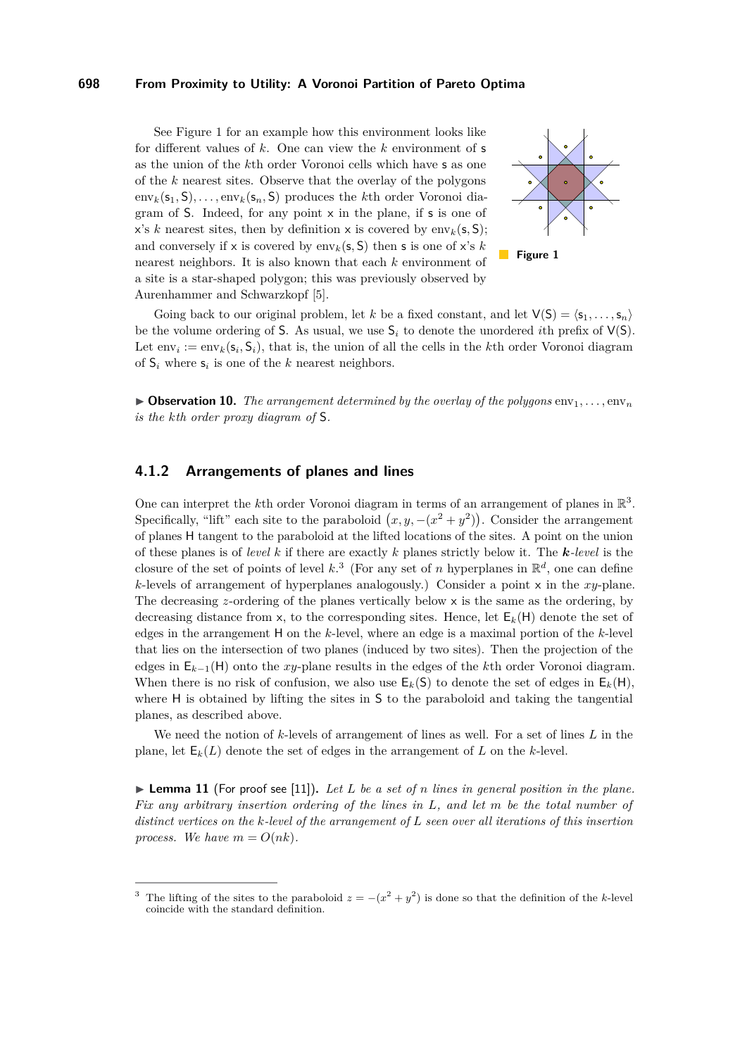See Figure [1](#page-9-0) for an example how this environment looks like for different values of *k*. One can view the *k* environment of s as the union of the *k*th order Voronoi cells which have s as one of the *k* nearest sites. Observe that the overlay of the polygons  $env_k(s_1, S), \ldots, env_k(s_n, S)$  produces the *k*th order Voronoi diagram of  $S$ . Indeed, for any point  $x$  in the plane, if  $s$  is one of  $x$ 's *k* nearest sites, then by definition x is covered by  $env_k(s, S)$ ; and conversely if x is covered by  $env_k(s, S)$  then s is one of x's k nearest neighbors. It is also known that each *k* environment of a site is a star-shaped polygon; this was previously observed by Aurenhammer and Schwarzkopf [\[5\]](#page-14-19).

<span id="page-9-0"></span>



Going back to our original problem, let *k* be a fixed constant, and let  $V(S) = \langle s_1, \ldots, s_n \rangle$ be the volume ordering of S. As usual, we use  $S_i$  to denote the unordered *i*th prefix of  $V(S)$ . Let  $env_i := env_k(s_i, S_i)$ , that is, the union of all the cells in the *k*th order Voronoi diagram of  $S_i$  where  $s_i$  is one of the *k* nearest neighbors.

 $\triangleright$  **Observation 10.** The arrangement determined by the overlay of the polygons  $env_1, \ldots, env_n$ *is the kth order proxy diagram of* S*.*

# **4.1.2 Arrangements of planes and lines**

One can interpret the  $k$ <sup>th</sup> order Voronoi diagram in terms of an arrangement of planes in  $\mathbb{R}^3$ . Specifically, "lift" each site to the paraboloid  $(x, y, -(x^2 + y^2))$ . Consider the arrangement of planes H tangent to the paraboloid at the lifted locations of the sites. A point on the union of these planes is of *level k* if there are exactly *k* planes strictly below it. The *k-level* is the closure of the set of points of level  $k$ <sup>[3](#page-9-1)</sup>. (For any set of *n* hyperplanes in  $\mathbb{R}^d$ , one can define *k*-levels of arrangement of hyperplanes analogously.) Consider a point x in the *xy*-plane. The decreasing *z*-ordering of the planes vertically below x is the same as the ordering, by decreasing distance from x, to the corresponding sites. Hence, let  $E_k(H)$  denote the set of edges in the arrangement H on the *k*-level, where an edge is a maximal portion of the *k*-level that lies on the intersection of two planes (induced by two sites). Then the projection of the edges in E*k*−1(H) onto the *xy*-plane results in the edges of the *k*th order Voronoi diagram. When there is no risk of confusion, we also use  $E_k(S)$  to denote the set of edges in  $E_k(H)$ , where H is obtained by lifting the sites in S to the paraboloid and taking the tangential planes, as described above.

We need the notion of *k*-levels of arrangement of lines as well. For a set of lines *L* in the plane, let  $E_k(L)$  denote the set of edges in the arrangement of *L* on the *k*-level.

<span id="page-9-2"></span> $\blacktriangleright$  **Lemma 11** (For proof see [\[11\]](#page-14-0)). Let L be a set of *n* lines in general position in the plane. *Fix any arbitrary insertion ordering of the lines in L, and let m be the total number of distinct vertices on the k-level of the arrangement of L seen over all iterations of this insertion process.* We have  $m = O(nk)$ .

<span id="page-9-1"></span><sup>&</sup>lt;sup>3</sup> The lifting of the sites to the paraboloid  $z = -(x^2 + y^2)$  is done so that the definition of the *k*-level coincide with the standard definition.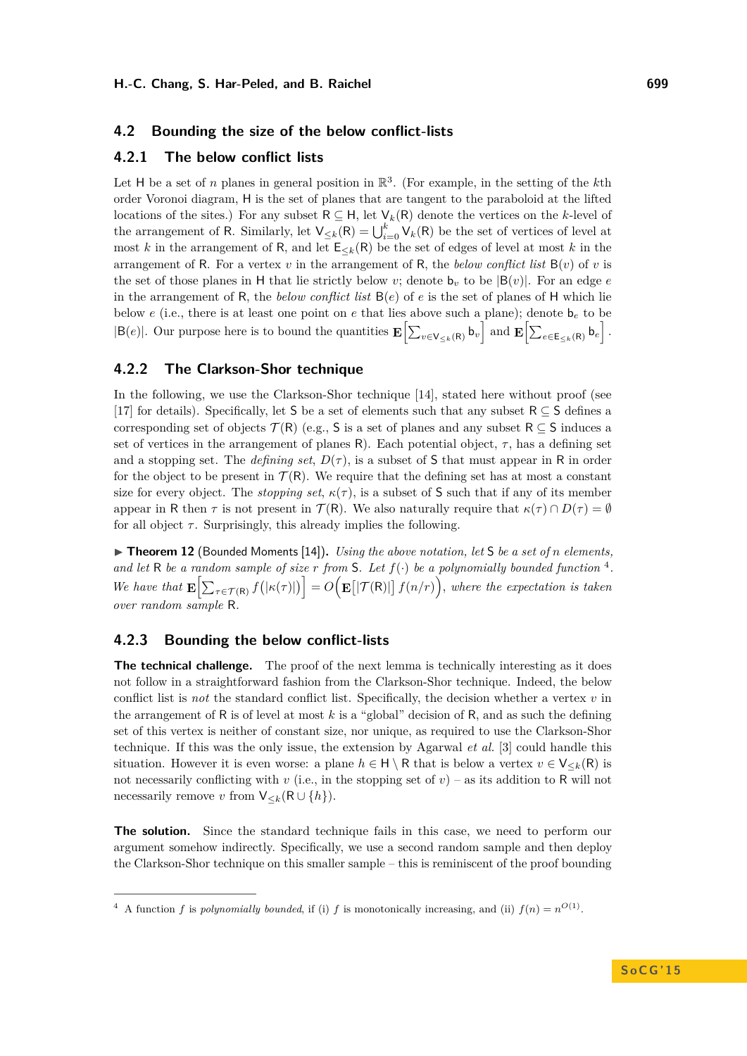## <span id="page-10-0"></span>**4.2 Bounding the size of the below conflict-lists**

# **4.2.1 The below conflict lists**

Let H be a set of *n* planes in general position in  $\mathbb{R}^3$ . (For example, in the setting of the *k*th order Voronoi diagram, H is the set of planes that are tangent to the paraboloid at the lifted locations of the sites.) For any subset  $R \subseteq H$ , let  $V_k(R)$  denote the vertices on the *k*-level of the arrangement of R. Similarly, let  $\mathsf{V}_{\leq k}(\mathsf{R}) = \bigcup_{i=0}^{k} \mathsf{V}_{k}(\mathsf{R})$  be the set of vertices of level at most *k* in the arrangement of R, and let  $E_{\leq k}(R)$  be the set of edges of level at most *k* in the arrangement of R. For a vertex  $v$  in the arrangement of R, the *below conflict list*  $B(v)$  of  $v$  is the set of those planes in H that lie strictly below *v*; denote  $\mathbf{b}_v$  to be  $|\mathbf{B}(v)|$ . For an edge *e* in the arrangement of R, the *below conflict list* B(*e*) of *e* is the set of planes of H which lie below *e* (i.e., there is at least one point on *e* that lies above such a plane); denote b*<sup>e</sup>* to be  $|B(e)|$ . Our purpose here is to bound the quantities  $\mathbf{E}\left[\sum_{v\in V_{\leq k}(R)} \mathbf{b}_v\right]$  and  $\mathbf{E}\left[\sum_{e\in \mathsf{E}_{\leq k}(R)} \mathbf{b}_e\right]$ .

#### **4.2.2 The Clarkson-Shor technique**

In the following, we use the Clarkson-Shor technique [\[14\]](#page-14-20), stated here without proof (see [\[17\]](#page-14-21) for details). Specifically, let S be a set of elements such that any subset  $R \subset S$  defines a corresponding set of objects  $\mathcal{T}(R)$  (e.g., S is a set of planes and any subset  $R \subseteq S$  induces a set of vertices in the arrangement of planes R). Each potential object,  $\tau$ , has a defining set and a stopping set. The *defining set*,  $D(\tau)$ , is a subset of S that must appear in R in order for the object to be present in  $\mathcal{T}(\mathsf{R})$ . We require that the defining set has at most a constant size for every object. The *stopping set*,  $\kappa(\tau)$ , is a subset of S such that if any of its member appear in R then  $\tau$  is not present in  $\mathcal{T}(R)$ . We also naturally require that  $\kappa(\tau) \cap D(\tau) = \emptyset$ for all object  $\tau$ . Surprisingly, this already implies the following.

<span id="page-10-2"></span> $\triangleright$  **Theorem 12** (Bounded Moments [\[14\]](#page-14-20)). *Using the above notation, let* S *be a set of n elements,* and let R be a random sample of size r from S. Let  $f(\cdot)$  be a polynomially bounded function  $^4$  $^4$ . We have that  $\mathbf{E}\left[\sum_{\tau \in \mathcal{T}(\mathsf{R})} f(|\kappa(\tau)|)\right] = O\left(\mathbf{E}\left[|\mathcal{T}(\mathsf{R})|\right] f(n/r)\right)$ , where the expectation is taken *over random sample* R*.*

## **4.2.3 Bounding the below conflict-lists**

**The technical challenge.** The proof of the next lemma is technically interesting as it does not follow in a straightforward fashion from the Clarkson-Shor technique. Indeed, the below conflict list is *not* the standard conflict list. Specifically, the decision whether a vertex *v* in the arrangement of R is of level at most  $k$  is a "global" decision of R, and as such the defining set of this vertex is neither of constant size, nor unique, as required to use the Clarkson-Shor technique. If this was the only issue, the extension by Agarwal *et al.* [\[3\]](#page-13-6) could handle this situation. However it is even worse: a plane  $h \in H \setminus R$  that is below a vertex  $v \in V_{\leq k}(R)$  is not necessarily conflicting with *v* (i.e., in the stopping set of *v*) – as its addition to R will not necessarily remove *v* from  $\mathsf{V}_{\leq k}(\mathsf{R} \cup \{h\})$ .

**The solution.** Since the standard technique fails in this case, we need to perform our argument somehow indirectly. Specifically, we use a second random sample and then deploy the Clarkson-Shor technique on this smaller sample – this is reminiscent of the proof bounding

<span id="page-10-1"></span><sup>&</sup>lt;sup>4</sup> A function *f* is *polynomially bounded*, if (i) *f* is monotonically increasing, and (ii)  $f(n) = n^{O(1)}$ .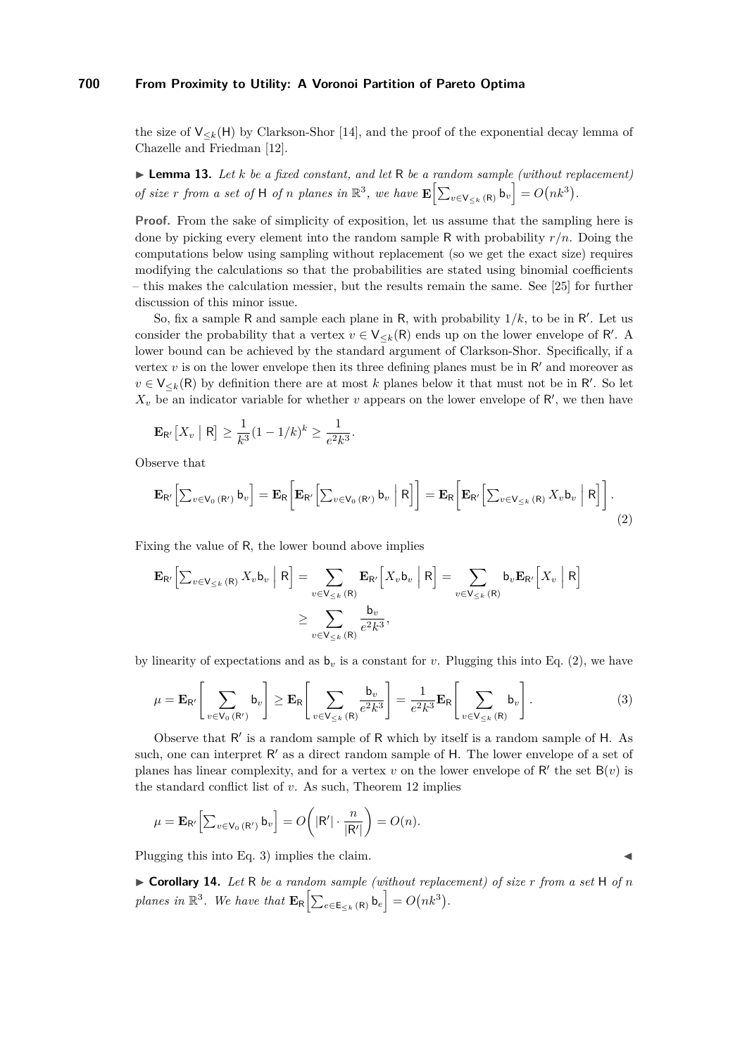the size of  $V_{\leq k}(H)$  by Clarkson-Shor [\[14\]](#page-14-20), and the proof of the exponential decay lemma of Chazelle and Friedman [\[12\]](#page-14-22).

▶ **Lemma 13.** *Let k be a fixed constant, and let* R *be a random sample (without replacement) of size r from a set of*  $H$  *of n planes in*  $\mathbb{R}^3$ *, we have*  $\mathbf{E}\left[\sum_{v \in V_{\le k}(\mathsf{R})} \mathsf{b}_v\right] = O(nk^3)$ *.* 

**Proof.** From the sake of simplicity of exposition, let us assume that the sampling here is done by picking every element into the random sample R with probability *r/n*. Doing the computations below using sampling without replacement (so we get the exact size) requires modifying the calculations so that the probabilities are stated using binomial coefficients – this makes the calculation messier, but the results remain the same. See [\[25\]](#page-14-23) for further discussion of this minor issue.

So, fix a sample R and sample each plane in R, with probability  $1/k$ , to be in R'. Let us consider the probability that a vertex  $v \in V_{\leq k}(R)$  ends up on the lower envelope of R'. A lower bound can be achieved by the standard argument of Clarkson-Shor. Specifically, if a vertex  $v$  is on the lower envelope then its three defining planes must be in  $R'$  and moreover as  $v \in V_{\leq k}(R)$  by definition there are at most *k* planes below it that must not be in R'. So let  $X_v$  be an indicator variable for whether *v* appears on the lower envelope of  $\mathsf{R}'$ , we then have

$$
\mathbf{E}_{\mathsf{R}'}[X_v \mid \mathsf{R}] \ge \frac{1}{k^3} (1 - 1/k)^k \ge \frac{1}{e^2 k^3}.
$$

Observe that

<span id="page-11-0"></span>
$$
\mathbf{E}_{\mathsf{R}'}\Big[\sum_{v\in\mathsf{V}_0(\mathsf{R}')} \mathsf{b}_v\Big] = \mathbf{E}_{\mathsf{R}}\Big[\mathbf{E}_{\mathsf{R}'}\Big[\sum_{v\in\mathsf{V}_0(\mathsf{R}')} \mathsf{b}_v \Big| \mathsf{R}\Big]\Big] = \mathbf{E}_{\mathsf{R}}\Big[\mathbf{E}_{\mathsf{R}'}\Big[\sum_{v\in\mathsf{V}_{\leq k}(\mathsf{R})} X_v \mathsf{b}_v \Big| \mathsf{R}\Big]\Big].\tag{2}
$$

Fixing the value of R, the lower bound above implies

$$
\mathbf{E}_{\mathsf{R}'}\Big[\sum_{v\in\mathsf{V}_{\leq k}(\mathsf{R})}X_v\mathsf{b}_v\Big|\mathsf{R}\Big] = \sum_{v\in\mathsf{V}_{\leq k}(\mathsf{R})}\mathbf{E}_{\mathsf{R}'}\Big[X_v\mathsf{b}_v\Big|\mathsf{R}\Big] = \sum_{v\in\mathsf{V}_{\leq k}(\mathsf{R})}\mathsf{b}_v\mathbf{E}_{\mathsf{R}'}\Big[X_v\Big|\mathsf{R}\Big]
$$

$$
\geq \sum_{v\in\mathsf{V}_{\leq k}(\mathsf{R})}\frac{\mathsf{b}_v}{e^2k^3},
$$

by linearity of expectations and as  $\mathbf{b}_v$  is a constant for *v*. Plugging this into Eq. [\(2\)](#page-11-0), we have

<span id="page-11-1"></span>
$$
\mu = \mathbf{E}_{\mathsf{R}'} \left[ \sum_{v \in \mathsf{V}_0(\mathsf{R}')} \mathsf{b}_v \right] \ge \mathbf{E}_{\mathsf{R}} \left[ \sum_{v \in \mathsf{V}_{\le k}(\mathsf{R})} \frac{\mathsf{b}_v}{e^2 k^3} \right] = \frac{1}{e^2 k^3} \mathbf{E}_{\mathsf{R}} \left[ \sum_{v \in \mathsf{V}_{\le k}(\mathsf{R})} \mathsf{b}_v \right]. \tag{3}
$$

Observe that  $R'$  is a random sample of  $R$  which by itself is a random sample of  $H$ . As such, one can interpret R' as a direct random sample of H. The lower envelope of a set of planes has linear complexity, and for a vertex  $v$  on the lower envelope of  $\mathsf{R}'$  the set  $\mathsf{B}(v)$  is the standard conflict list of *v*. As such, Theorem [12](#page-10-2) implies

$$
\mu = \mathbf{E}_{\mathsf{R}'} \Big[ \sum_{v \in \mathsf{V}_0(\mathsf{R}')} \mathsf{b}_v \Big] = O\bigg( |\mathsf{R}'| \cdot \frac{n}{|\mathsf{R}'|} \bigg) = O(n).
$$

Plugging this into Eq. [3\)](#page-11-1) implies the claim.

<span id="page-11-2"></span> $\triangleright$  **Corollary 14.** Let R be a random sample (without replacement) of size r from a set H of n  $\mathit{planes}\; \hat{in}\; \mathbb{R}^3$ . We have that  $\mathbf{E}_{\mathsf{R}}\Big[\sum_{e\in \mathsf{E}_{\leq k}(\mathsf{R})} \mathsf{b}_e\Big] = O\big(nk^3\big).$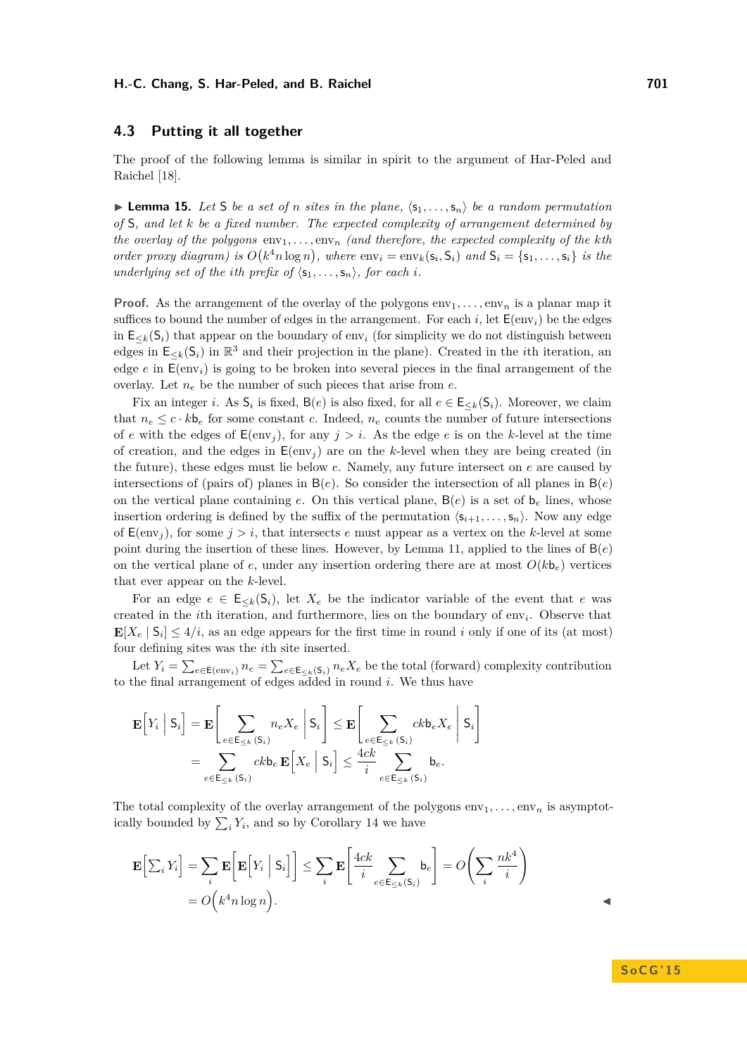# <span id="page-12-1"></span>**4.3 Putting it all together**

The proof of the following lemma is similar in spirit to the argument of Har-Peled and Raichel [\[18\]](#page-14-10).

<span id="page-12-0"></span>**Lemma 15.** Let S be a set of *n* sites in the plane,  $\langle s_1, \ldots, s_n \rangle$  be a random permutation *of* S*, and let k be a fixed number. The expected complexity of arrangement determined by the overlay of the polygons*  $env_1, \ldots, env_n$  *(and therefore, the expected complexity of the kth order proxy diagram) is*  $O(k^4 n \log n)$ , where  $env_i = env_k(s_i, S_i)$  and  $S_i = \{s_1, \ldots, s_i\}$  *is the underlying set of the ith prefix of*  $\langle s_1, \ldots, s_n \rangle$ *, for each i.* 

**Proof.** As the arrangement of the overlay of the polygons  $env_1, ..., env_n$  is a planar map it suffices to bound the number of edges in the arrangement. For each  $i$ , let  $E(\text{env}_i)$  be the edges in  $E_{\leq k}(S_i)$  that appear on the boundary of env<sub>i</sub> (for simplicity we do not distinguish between edges in  $\mathsf{E}_{\leq k}(\mathsf{S}_i)$  in  $\mathbb{R}^3$  and their projection in the plane). Created in the *i*th iteration, an edge *e* in E(env*i*) is going to be broken into several pieces in the final arrangement of the overlay. Let  $n_e$  be the number of such pieces that arise from  $e$ .

Fix an integer *i*. As  $\mathsf{S}_i$  is fixed,  $\mathsf{B}(e)$  is also fixed, for all  $e \in \mathsf{E}_{\leq k}(\mathsf{S}_i)$ . Moreover, we claim that  $n_e \leq c \cdot k \mathbf{b}_e$  for some constant *c*. Indeed,  $n_e$  counts the number of future intersections of *e* with the edges of  $E(\text{env}_i)$ , for any  $j > i$ . As the edge *e* is on the *k*-level at the time of creation, and the edges in  $E(\text{env}_j)$  are on the *k*-level when they are being created (in the future), these edges must lie below *e*. Namely, any future intersect on *e* are caused by intersections of (pairs of) planes in  $B(e)$ . So consider the intersection of all planes in  $B(e)$ on the vertical plane containing *e*. On this vertical plane,  $B(e)$  is a set of  $b_e$  lines, whose insertion ordering is defined by the suffix of the permutation  $\langle s_{i+1}, \ldots, s_n \rangle$ . Now any edge of  $E(\text{env}_i)$ , for some  $j > i$ , that intersects *e* must appear as a vertex on the *k*-level at some point during the insertion of these lines. However, by Lemma [11,](#page-9-2) applied to the lines of B(*e*) on the vertical plane of *e*, under any insertion ordering there are at most  $O(kb_e)$  vertices that ever appear on the *k*-level.

For an edge  $e \in \mathsf{E}_{\leq k}(\mathsf{S}_i)$ , let  $X_e$  be the indicator variable of the event that *e* was created in the *i*th iteration, and furthermore, lies on the boundary of env*<sup>i</sup>* . Observe that  $\mathbf{E}[X_e \mid \mathsf{S}_i] \leq 4/i$ , as an edge appears for the first time in round *i* only if one of its (at most) four defining sites was the *i*th site inserted.

Let  $Y_i = \sum_{e \in \mathsf{E}(\text{env}_i)} n_e = \sum_{e \in \mathsf{E}_{\le k}(\mathsf{S}_i)} n_e X_e$  be the total (forward) complexity contribution to the final arrangement of edges added in round *i*. We thus have

$$
\mathbf{E}\Big[X_i \mid \mathsf{S}_i\Big] = \mathbf{E}\Bigg[\sum_{e \in \mathsf{E}_{\leq k}(\mathsf{S}_i)} n_e X_e \mid \mathsf{S}_i\Bigg] \leq \mathbf{E}\Bigg[\sum_{e \in \mathsf{E}_{\leq k}(\mathsf{S}_i)} ck\mathsf{b}_e X_e \mid \mathsf{S}_i\Bigg]
$$

$$
= \sum_{e \in \mathsf{E}_{\leq k}(\mathsf{S}_i)} ck\mathsf{b}_e \mathbf{E}\Big[X_e \mid \mathsf{S}_i\Big] \leq \frac{4ck}{i} \sum_{e \in \mathsf{E}_{\leq k}(\mathsf{S}_i)} \mathsf{b}_e.
$$

The total complexity of the overlay arrangement of the polygons  $env_1, \ldots, env_n$  is asymptotically bounded by  $\sum_i Y_i$ , and so by Corollary [14](#page-11-2) we have

$$
\mathbf{E}\Big[\sum_{i} Y_{i}\Big] = \sum_{i} \mathbf{E}\Big[\mathbf{E}\Big[Y_{i} \mid \mathbf{S}_{i}\Big]\Big] \leq \sum_{i} \mathbf{E}\Big[\frac{4ck}{i} \sum_{e \in \mathsf{E}_{\leq k}(\mathbf{S}_{i})} \mathsf{b}_{e}\Big] = O\Big(\sum_{i} \frac{nk^{4}}{i}\Big)
$$

$$
= O\Big(k^{4}n \log n\Big).
$$

# **S o C G ' 1 5**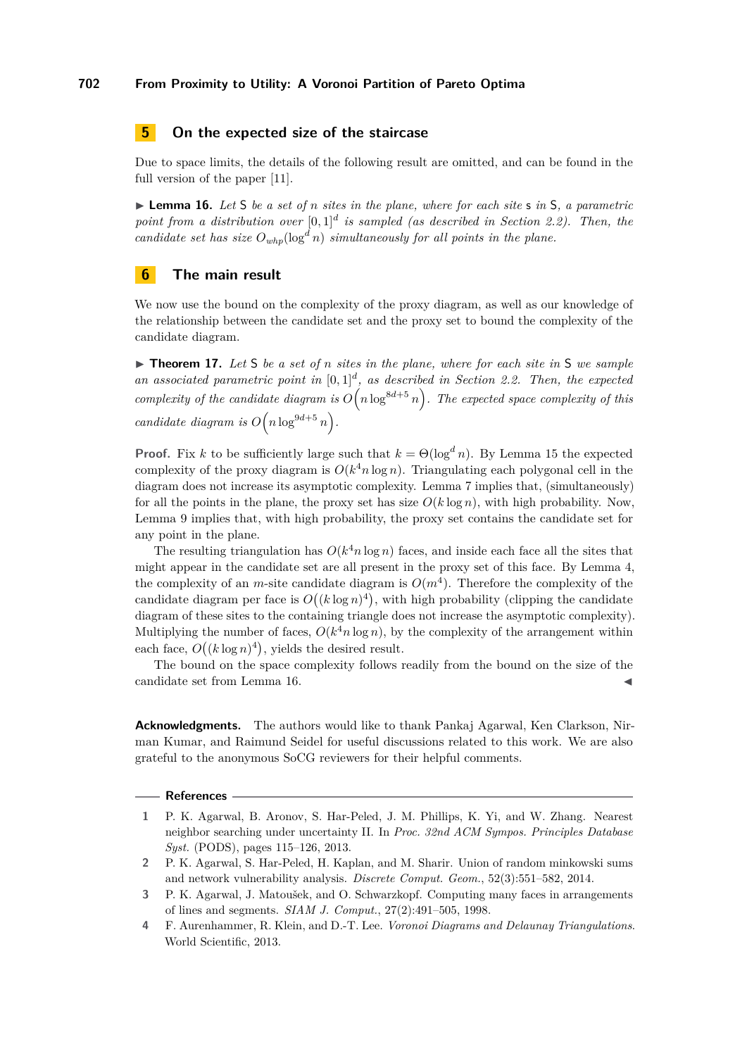# <span id="page-13-3"></span>**5 On the expected size of the staircase**

Due to space limits, the details of the following result are omitted, and can be found in the full version of the paper [\[11\]](#page-14-0).

<span id="page-13-7"></span>I **Lemma 16.** *Let* S *be a set of n sites in the plane, where for each site* s *in* S*, a parametric point from a distribution over* [0*,* 1]*<sup>d</sup> is sampled (as described in Section [2.2\)](#page-5-0). Then, the candidate set has size*  $O_{whp}(\log^d n)$  *simultaneously for all points in the plane.* 

# <span id="page-13-4"></span>**6 The main result**

We now use the bound on the complexity of the proxy diagram, as well as our knowledge of the relationship between the candidate set and the proxy set to bound the complexity of the candidate diagram.

<span id="page-13-2"></span>▶ **Theorem 17.** Let S be a set of *n* sites in the plane, where for each site in S we sample an associated parametric point in  $[0,1]^d$ , as described in Section [2.2.](#page-5-0) Then, the expected *complexity of the candidate diagram is*  $O(n \log^{8d+5} n)$ . The expected space complexity of this *candidate diagram is*  $O(n \log^{9d+5} n)$ .

**Proof.** Fix *k* to be sufficiently large such that  $k = \Theta(\log^d n)$ . By Lemma [15](#page-12-0) the expected complexity of the proxy diagram is  $O(k^4 n \log n)$ . Triangulating each polygonal cell in the diagram does not increase its asymptotic complexity. Lemma [7](#page-7-2) implies that, (simultaneously) for all the points in the plane, the proxy set has size  $O(k \log n)$ , with high probability. Now, Lemma [9](#page-7-3) implies that, with high probability, the proxy set contains the candidate set for any point in the plane.

The resulting triangulation has  $O(k^4 n \log n)$  faces, and inside each face all the sites that might appear in the candidate set are all present in the proxy set of this face. By Lemma [4,](#page-5-2) the complexity of an *m*-site candidate diagram is  $O(m<sup>4</sup>)$ . Therefore the complexity of the candidate diagram per face is  $O((k \log n)^4)$ , with high probability (clipping the candidate diagram of these sites to the containing triangle does not increase the asymptotic complexity). Multiplying the number of faces,  $O(k^4 n \log n)$ , by the complexity of the arrangement within each face,  $O((k \log n)^4)$ , yields the desired result.

The bound on the space complexity follows readily from the bound on the size of the candidate set from Lemma [16.](#page-13-7)

**Acknowledgments.** The authors would like to thank Pankaj Agarwal, Ken Clarkson, Nirman Kumar, and Raimund Seidel for useful discussions related to this work. We are also grateful to the anonymous SoCG reviewers for their helpful comments.

#### **References**

- <span id="page-13-0"></span>**1** P. K. Agarwal, B. Aronov, S. Har-Peled, J. M. Phillips, K. Yi, and W. Zhang. Nearest neighbor searching under uncertainty II. In *Proc. 32nd ACM Sympos. Principles Database Syst.* (PODS), pages 115–126, 2013.
- <span id="page-13-1"></span>**2** P. K. Agarwal, S. Har-Peled, H. Kaplan, and M. Sharir. Union of random minkowski sums and network vulnerability analysis. *Discrete Comput. Geom.*, 52(3):551–582, 2014.
- <span id="page-13-6"></span>**3** P. K. Agarwal, J. Matoušek, and O. Schwarzkopf. Computing many faces in arrangements of lines and segments. *SIAM J. Comput.*, 27(2):491–505, 1998.
- <span id="page-13-5"></span>**4** F. Aurenhammer, R. Klein, and D.-T. Lee. *Voronoi Diagrams and Delaunay Triangulations*. World Scientific, 2013.